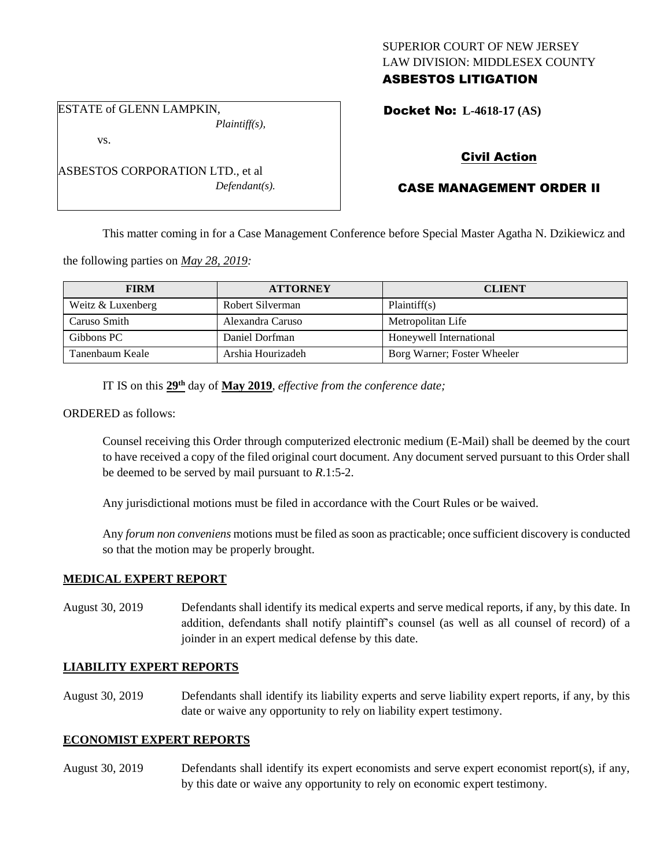### SUPERIOR COURT OF NEW JERSEY LAW DIVISION: MIDDLESEX COUNTY ASBESTOS LITIGATION

ESTATE of GLENN LAMPKIN, *Plaintiff(s),*

vs.

ASBESTOS CORPORATION LTD., et al *Defendant(s).*

## Docket No: **L-4618-17 (AS)**

# Civil Action

# CASE MANAGEMENT ORDER II

This matter coming in for a Case Management Conference before Special Master Agatha N. Dzikiewicz and

the following parties on *May 28, 2019:*

| <b>FIRM</b>       | <b>ATTORNEY</b>   | <b>CLIENT</b>               |
|-------------------|-------------------|-----------------------------|
| Weitz & Luxenberg | Robert Silverman  | Plaintiff(s)                |
| Caruso Smith      | Alexandra Caruso  | Metropolitan Life           |
| Gibbons PC        | Daniel Dorfman    | Honeywell International     |
| Tanenbaum Keale   | Arshia Hourizadeh | Borg Warner; Foster Wheeler |

IT IS on this **29th** day of **May 2019**, *effective from the conference date;*

ORDERED as follows:

Counsel receiving this Order through computerized electronic medium (E-Mail) shall be deemed by the court to have received a copy of the filed original court document. Any document served pursuant to this Order shall be deemed to be served by mail pursuant to *R*.1:5-2.

Any jurisdictional motions must be filed in accordance with the Court Rules or be waived.

Any *forum non conveniens* motions must be filed as soon as practicable; once sufficient discovery is conducted so that the motion may be properly brought.

### **MEDICAL EXPERT REPORT**

August 30, 2019 Defendants shall identify its medical experts and serve medical reports, if any, by this date. In addition, defendants shall notify plaintiff's counsel (as well as all counsel of record) of a joinder in an expert medical defense by this date.

### **LIABILITY EXPERT REPORTS**

August 30, 2019 Defendants shall identify its liability experts and serve liability expert reports, if any, by this date or waive any opportunity to rely on liability expert testimony.

#### **ECONOMIST EXPERT REPORTS**

August 30, 2019 Defendants shall identify its expert economists and serve expert economist report(s), if any, by this date or waive any opportunity to rely on economic expert testimony.